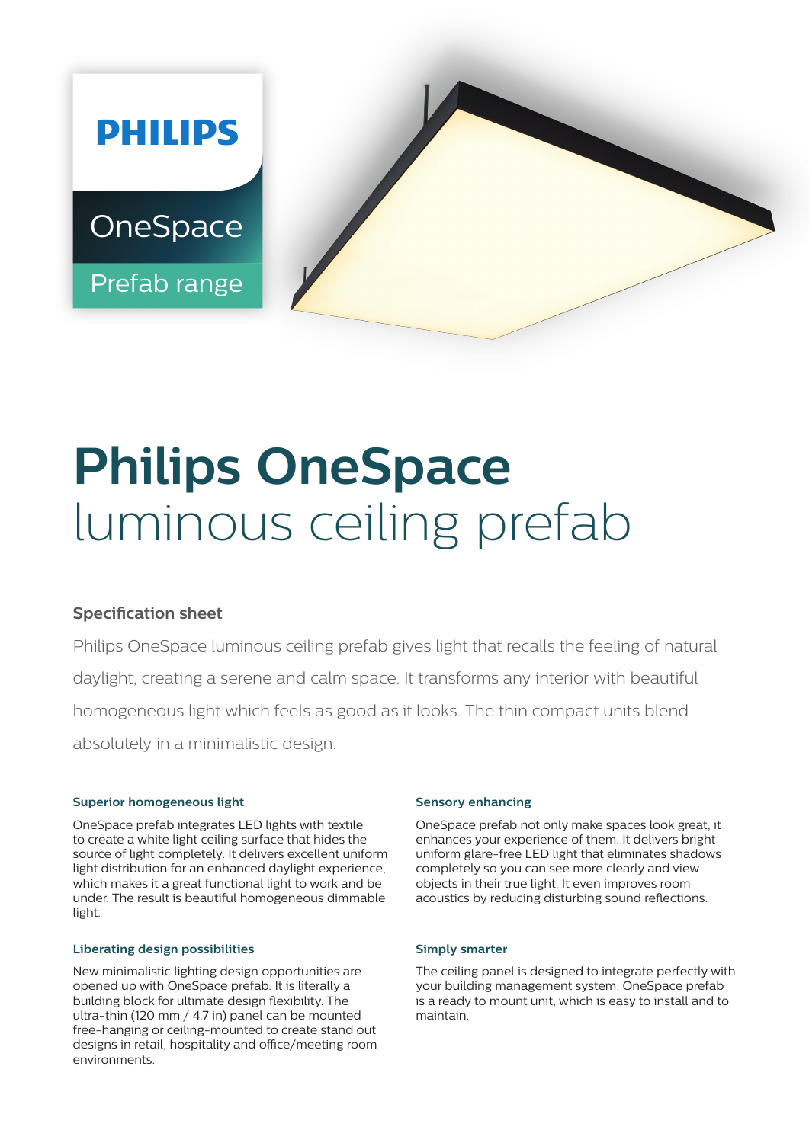

# **Philips OneSpace**  luminous ceiling prefab

## **Specification sheet**

Philips OneSpace luminous ceiling prefab gives light that recalls the feeling of natural daylight, creating a serene and calm space. It transforms any interior with beautiful homogeneous light which feels as good as it looks. The thin compact units blend absolutely in a minimalistic design.

#### **Superior homogeneous light**

OneSpace prefab integrates LED lights with textile to create a white light ceiling surface that hides the source of light completely. It delivers excellent uniform light distribution for an enhanced daylight experience, which makes it a great functional light to work and be under. The result is beautiful homogeneous dimmable light.

#### **Liberating design possibilities**

New minimalistic lighting design opportunities are opened up with OneSpace prefab. It is literally a building block for ultimate design flexibility. The ultra-thin (120 mm / 4.7 in) panel can be mounted free-hanging or ceiling-mounted to create stand out designs in retail, hospitality and office/meeting room environments.

#### **Sensory enhancing**

OneSpace prefab not only make spaces look great, it enhances your experience of them. It delivers bright uniform glare-free LED light that eliminates shadows completely so you can see more clearly and view objects in their true light. It even improves room acoustics by reducing disturbing sound reflections.

#### **Simply smarter**

The ceiling panel is designed to integrate perfectly with your building management system. OneSpace prefab is a ready to mount unit, which is easy to install and to maintain.